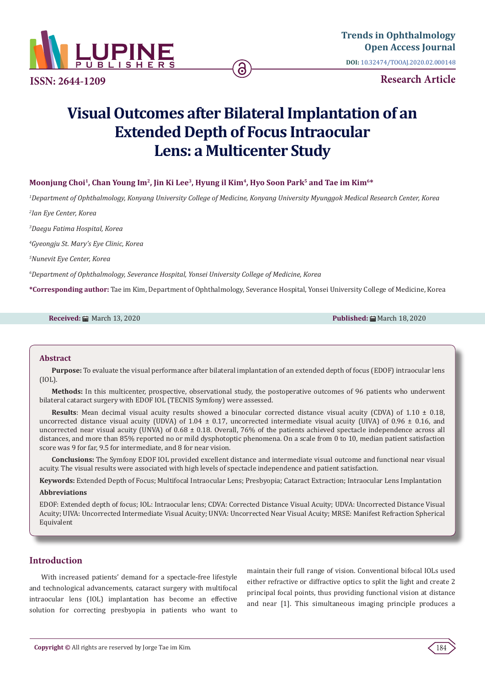

**ISSN: 2644-1209**

**Research Article**

# **Visual Outcomes after Bilateral Implantation of an Extended Depth of Focus Intraocular Lens: a Multicenter Study**

# **Moonjung Choi1, Chan Young Im2, Jin Ki Lee3, Hyung il Kim4, Hyo Soon Park5 and Tae im Kim6\***

*1 Department of Ophthalmology, Konyang University College of Medicine, Konyang University Myunggok Medical Research Center, Korea*

*2 Ian Eye Center, Korea*

*3 Daegu Fatima Hospital, Korea*

*4 Gyeongju St. Mary's Eye Clinic, Korea* 

*5 Nunevit Eye Center, Korea* 

*6 Department of Ophthalmology, Severance Hospital, Yonsei University College of Medicine, Korea*

**\*Corresponding author:** Tae im Kim, Department of Ophthalmology, Severance Hospital, Yonsei University College of Medicine, Korea

**Received:** March 13, 2020 **Published:** March 18, 2020

#### **Abstract**

**Purpose:** To evaluate the visual performance after bilateral implantation of an extended depth of focus (EDOF) intraocular lens (IOL).

**Methods:** In this multicenter, prospective, observational study, the postoperative outcomes of 96 patients who underwent bilateral cataract surgery with EDOF IOL (TECNIS Symfony) were assessed.

**Results**: Mean decimal visual acuity results showed a binocular corrected distance visual acuity (CDVA) of 1.10  $\pm$  0.18, uncorrected distance visual acuity (UDVA) of 1.04  $\pm$  0.17, uncorrected intermediate visual acuity (UIVA) of 0.96  $\pm$  0.16, and uncorrected near visual acuity (UNVA) of  $0.68 \pm 0.18$ . Overall, 76% of the patients achieved spectacle independence across all distances, and more than 85% reported no or mild dysphotoptic phenomena. On a scale from 0 to 10, median patient satisfaction score was 9 for far, 9.5 for intermediate, and 8 for near vision.

**Conclusions:** The Symfony EDOF IOL provided excellent distance and intermediate visual outcome and functional near visual acuity. The visual results were associated with high levels of spectacle independence and patient satisfaction.

**Keywords:** Extended Depth of Focus; Multifocal Intraocular Lens; Presbyopia; Cataract Extraction; Intraocular Lens Implantation

#### **Abbreviations**

EDOF: Extended depth of focus; IOL: Intraocular lens; CDVA: Corrected Distance Visual Acuity; UDVA: Uncorrected Distance Visual Acuity; UIVA: Uncorrected Intermediate Visual Acuity; UNVA: Uncorrected Near Visual Acuity; MRSE: Manifest Refraction Spherical Equivalent

# **Introduction**

With increased patients' demand for a spectacle-free lifestyle and technological advancements, cataract surgery with multifocal intraocular lens (IOL) implantation has become an effective solution for correcting presbyopia in patients who want to

maintain their full range of vision. Conventional bifocal IOLs used either refractive or diffractive optics to split the light and create 2 principal focal points, thus providing functional vision at distance and near [1]. This simultaneous imaging principle produces a

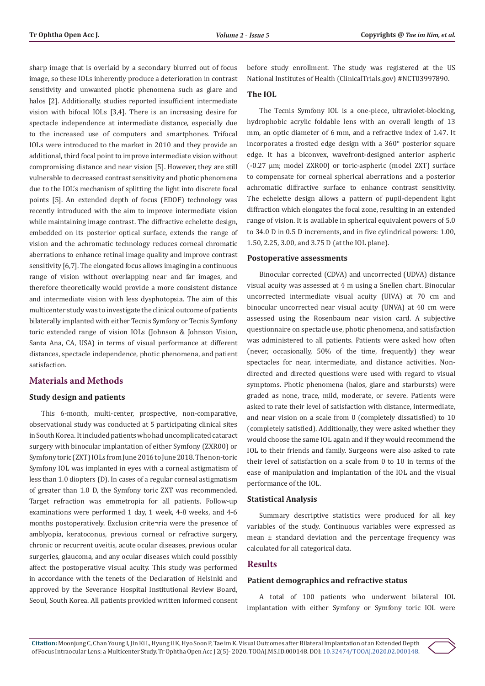sharp image that is overlaid by a secondary blurred out of focus image, so these IOLs inherently produce a deterioration in contrast sensitivity and unwanted photic phenomena such as glare and halos [2]. Additionally, studies reported insufficient intermediate vision with bifocal IOLs [3,4]. There is an increasing desire for spectacle independence at intermediate distance, especially due to the increased use of computers and smartphones. Trifocal IOLs were introduced to the market in 2010 and they provide an additional, third focal point to improve intermediate vision without compromising distance and near vision [5]. However, they are still vulnerable to decreased contrast sensitivity and photic phenomena due to the IOL's mechanism of splitting the light into discrete focal points [5]. An extended depth of focus (EDOF) technology was recently introduced with the aim to improve intermediate vision while maintaining image contrast. The diffractive echelette design, embedded on its posterior optical surface, extends the range of vision and the achromatic technology reduces corneal chromatic aberrations to enhance retinal image quality and improve contrast sensitivity [6,7]. The elongated focus allows imaging in a continuous range of vision without overlapping near and far images, and therefore theoretically would provide a more consistent distance and intermediate vision with less dysphotopsia. The aim of this multicenter study was to investigate the clinical outcome of patients bilaterally implanted with either Tecnis Symfony or Tecnis Symfony toric extended range of vision IOLs (Johnson & Johnson Vision, Santa Ana, CA, USA) in terms of visual performance at different distances, spectacle independence, photic phenomena, and patient satisfaction.

## **Materials and Methods**

#### **Study design and patients**

This 6-month, multi-center, prospective, non-comparative, observational study was conducted at 5 participating clinical sites in South Korea. It included patients who had uncomplicated cataract surgery with binocular implantation of either Symfony (ZXR00) or Symfony toric (ZXT) IOLs from June 2016 to June 2018. The non-toric Symfony IOL was implanted in eyes with a corneal astigmatism of less than 1.0 diopters (D). In cases of a regular corneal astigmatism of greater than 1.0 D, the Symfony toric ZXT was recommended. Target refraction was emmetropia for all patients. Follow-up examinations were performed 1 day, 1 week, 4-8 weeks, and 4-6 months postoperatively. Exclusion crite¬ria were the presence of amblyopia, keratoconus, previous corneal or refractive surgery, chronic or recurrent uveitis, acute ocular diseases, previous ocular surgeries, glaucoma, and any ocular diseases which could possibly affect the postoperative visual acuity. This study was performed in accordance with the tenets of the Declaration of Helsinki and approved by the Severance Hospital Institutional Review Board, Seoul, South Korea. All patients provided written informed consent before study enrollment. The study was registered at the US National Institutes of Health (ClinicalTrials.gov) #NCT03997890.

## **The IOL**

The Tecnis Symfony IOL is a one-piece, ultraviolet-blocking, hydrophobic acrylic foldable lens with an overall length of 13 mm, an optic diameter of 6 mm, and a refractive index of 1.47. It incorporates a frosted edge design with a 360° posterior square edge. It has a biconvex, wavefront-designed anterior aspheric (-0.27 µm; model ZXR00) or toric-aspheric (model ZXT) surface to compensate for corneal spherical aberrations and a posterior achromatic diffractive surface to enhance contrast sensitivity. The echelette design allows a pattern of pupil-dependent light diffraction which elongates the focal zone, resulting in an extended range of vision. It is available in spherical equivalent powers of 5.0 to 34.0 D in 0.5 D increments, and in five cylindrical powers: 1.00, 1.50, 2.25, 3.00, and 3.75 D (at the IOL plane).

#### **Postoperative assessments**

Binocular corrected (CDVA) and uncorrected (UDVA) distance visual acuity was assessed at 4 m using a Snellen chart. Binocular uncorrected intermediate visual acuity (UIVA) at 70 cm and binocular uncorrected near visual acuity (UNVA) at 40 cm were assessed using the Rosenbaum near vision card. A subjective questionnaire on spectacle use, photic phenomena, and satisfaction was administered to all patients. Patients were asked how often (never, occasionally, 50% of the time, frequently) they wear spectacles for near, intermediate, and distance activities. Nondirected and directed questions were used with regard to visual symptoms. Photic phenomena (halos, glare and starbursts) were graded as none, trace, mild, moderate, or severe. Patients were asked to rate their level of satisfaction with distance, intermediate, and near vision on a scale from 0 (completely dissatisfied) to 10 (completely satisfied). Additionally, they were asked whether they would choose the same IOL again and if they would recommend the IOL to their friends and family. Surgeons were also asked to rate their level of satisfaction on a scale from 0 to 10 in terms of the ease of manipulation and implantation of the IOL and the visual performance of the IOL.

#### **Statistical Analysis**

Summary descriptive statistics were produced for all key variables of the study. Continuous variables were expressed as mean ± standard deviation and the percentage frequency was calculated for all categorical data.

## **Results**

#### **Patient demographics and refractive status**

A total of 100 patients who underwent bilateral IOL implantation with either Symfony or Symfony toric IOL were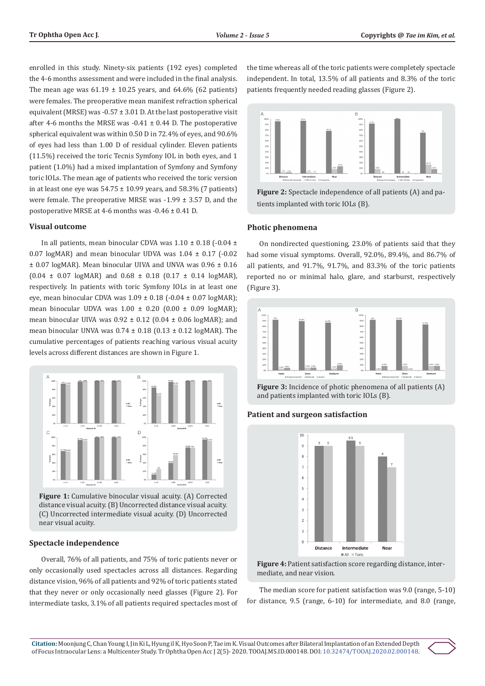enrolled in this study. Ninety-six patients (192 eyes) completed the 4-6 months assessment and were included in the final analysis. The mean age was  $61.19 \pm 10.25$  years, and  $64.6\%$  (62 patients) were females. The preoperative mean manifest refraction spherical equivalent (MRSE) was  $-0.57 \pm 3.01$  D. At the last postoperative visit after 4-6 months the MRSE was  $-0.41 \pm 0.44$  D. The postoperative spherical equivalent was within 0.50 D in 72.4% of eyes, and 90.6% of eyes had less than 1.00 D of residual cylinder. Eleven patients (11.5%) received the toric Tecnis Symfony IOL in both eyes, and 1 patient (1.0%) had a mixed implantation of Symfony and Symfony toric IOLs. The mean age of patients who received the toric version in at least one eye was  $54.75 \pm 10.99$  years, and  $58.3\%$  (7 patients) were female. The preoperative MRSE was  $-1.99 \pm 3.57$  D, and the postoperative MRSE at 4-6 months was -0.46 ± 0.41 D.

## **Visual outcome**

In all patients, mean binocular CDVA was  $1.10 \pm 0.18$  (-0.04  $\pm$ ) 0.07 logMAR) and mean binocular UDVA was  $1.04 \pm 0.17$  (-0.02)  $\pm$  0.07 logMAR). Mean binocular UIVA and UNVA was 0.96  $\pm$  0.16  $(0.04 \pm 0.07 \text{ log} \text{MAR})$  and  $0.68 \pm 0.18 \text{ (}0.17 \pm 0.14 \text{ log} \text{MAR})$ , respectively. In patients with toric Symfony IOLs in at least one eye, mean binocular CDVA was 1.09 ± 0.18 (-0.04 ± 0.07 logMAR); mean binocular UDVA was  $1.00 \pm 0.20$  (0.00  $\pm$  0.09 logMAR): mean binocular UIVA was  $0.92 \pm 0.12$  (0.04  $\pm$  0.06 logMAR); and mean binocular UNVA was  $0.74 \pm 0.18$  (0.13  $\pm$  0.12 logMAR). The cumulative percentages of patients reaching various visual acuity levels across different distances are shown in Figure 1.



**Figure 1:** Cumulative binocular visual acuity. (A) Corrected distance visual acuity. (B) Uncorrected distance visual acuity. (C) Uncorrected intermediate visual acuity. (D) Uncorrected near visual acuity.

## **Spectacle independence**

Overall, 76% of all patients, and 75% of toric patients never or only occasionally used spectacles across all distances. Regarding distance vision, 96% of all patients and 92% of toric patients stated that they never or only occasionally need glasses (Figure 2). For intermediate tasks, 3.1% of all patients required spectacles most of the time whereas all of the toric patients were completely spectacle independent. In total, 13.5% of all patients and 8.3% of the toric patients frequently needed reading glasses (Figure 2).



**Figure 2:** Spectacle independence of all patients (A) and patients implanted with toric IOLs (B).

## **Photic phenomena**

On nondirected questioning, 23.0% of patients said that they had some visual symptoms. Overall, 92.0%, 89.4%, and 86.7% of all patients, and 91.7%, 91.7%, and 83.3% of the toric patients reported no or minimal halo, glare, and starburst, respectively (Figure 3).



**Figure 3:** Incidence of photic phenomena of all patients (A) and patients implanted with toric IOLs (B).

## **Patient and surgeon satisfaction**



**Figure 4:** Patient satisfaction score regarding distance, intermediate, and near vision.

The median score for patient satisfaction was 9.0 (range, 5-10) for distance, 9.5 (range, 6-10) for intermediate, and 8.0 (range,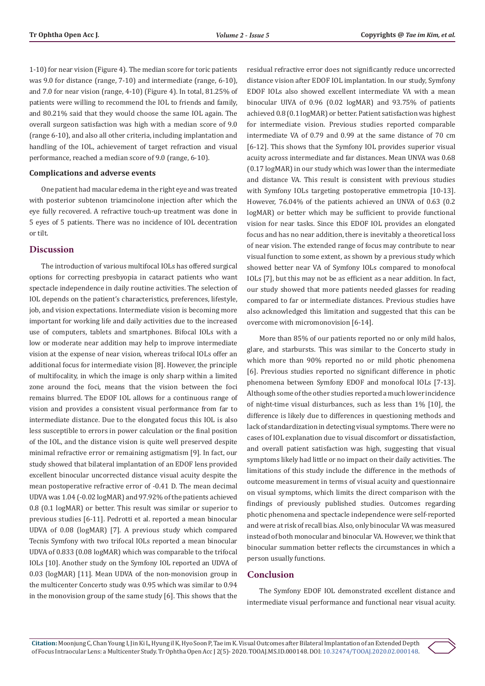1-10) for near vision (Figure 4). The median score for toric patients was 9.0 for distance (range, 7-10) and intermediate (range, 6-10), and 7.0 for near vision (range, 4-10) (Figure 4). In total, 81.25% of patients were willing to recommend the IOL to friends and family, and 80.21% said that they would choose the same IOL again. The overall surgeon satisfaction was high with a median score of 9.0 (range 6-10), and also all other criteria, including implantation and handling of the IOL, achievement of target refraction and visual performance, reached a median score of 9.0 (range, 6-10).

#### **Complications and adverse events**

One patient had macular edema in the right eye and was treated with posterior subtenon triamcinolone injection after which the eye fully recovered. A refractive touch-up treatment was done in 5 eyes of 5 patients. There was no incidence of IOL decentration or tilt.

### **Discussion**

The introduction of various multifocal IOLs has offered surgical options for correcting presbyopia in cataract patients who want spectacle independence in daily routine activities. The selection of IOL depends on the patient's characteristics, preferences, lifestyle, job, and vision expectations. Intermediate vision is becoming more important for working life and daily activities due to the increased use of computers, tablets and smartphones. Bifocal IOLs with a low or moderate near addition may help to improve intermediate vision at the expense of near vision, whereas trifocal IOLs offer an additional focus for intermediate vision [8]. However, the principle of multifocality, in which the image is only sharp within a limited zone around the foci, means that the vision between the foci remains blurred. The EDOF IOL allows for a continuous range of vision and provides a consistent visual performance from far to intermediate distance. Due to the elongated focus this IOL is also less susceptible to errors in power calculation or the final position of the IOL, and the distance vision is quite well preserved despite minimal refractive error or remaining astigmatism [9]. In fact, our study showed that bilateral implantation of an EDOF lens provided excellent binocular uncorrected distance visual acuity despite the mean postoperative refractive error of -0.41 D. The mean decimal UDVA was 1.04 (-0.02 logMAR) and 97.92% of the patients achieved 0.8 (0.1 logMAR) or better. This result was similar or superior to previous studies [6-11]. Pedrotti et al. reported a mean binocular UDVA of 0.08 (logMAR) [7]. A previous study which compared Tecnis Symfony with two trifocal IOLs reported a mean binocular UDVA of 0.833 (0.08 logMAR) which was comparable to the trifocal IOLs [10]. Another study on the Symfony IOL reported an UDVA of 0.03 (logMAR) [11]. Mean UDVA of the non-monovision group in the multicenter Concerto study was 0.95 which was similar to 0.94 in the monovision group of the same study [6]. This shows that the

residual refractive error does not significantly reduce uncorrected distance vision after EDOF IOL implantation. In our study, Symfony EDOF IOLs also showed excellent intermediate VA with a mean binocular UIVA of 0.96 (0.02 logMAR) and 93.75% of patients achieved 0.8 (0.1 logMAR) or better. Patient satisfaction was highest for intermediate vision. Previous studies reported comparable intermediate VA of 0.79 and 0.99 at the same distance of 70 cm [6-12]. This shows that the Symfony IOL provides superior visual acuity across intermediate and far distances. Mean UNVA was 0.68 (0.17 logMAR) in our study which was lower than the intermediate and distance VA. This result is consistent with previous studies with Symfony IOLs targeting postoperative emmetropia [10-13]. However, 76.04% of the patients achieved an UNVA of 0.63 (0.2 logMAR) or better which may be sufficient to provide functional vision for near tasks. Since this EDOF IOL provides an elongated focus and has no near addition, there is inevitably a theoretical loss of near vision. The extended range of focus may contribute to near visual function to some extent, as shown by a previous study which showed better near VA of Symfony IOLs compared to monofocal IOLs [7], but this may not be as efficient as a near addition. In fact, our study showed that more patients needed glasses for reading compared to far or intermediate distances. Previous studies have also acknowledged this limitation and suggested that this can be overcome with micromonovision [6-14].

More than 85% of our patients reported no or only mild halos, glare, and starbursts. This was similar to the Concerto study in which more than 90% reported no or mild photic phenomena [6]. Previous studies reported no significant difference in photic phenomena between Symfony EDOF and monofocal IOLs [7-13]. Although some of the other studies reported a much lower incidence of night-time visual disturbances, such as less than 1% [10], the difference is likely due to differences in questioning methods and lack of standardization in detecting visual symptoms. There were no cases of IOL explanation due to visual discomfort or dissatisfaction, and overall patient satisfaction was high, suggesting that visual symptoms likely had little or no impact on their daily activities. The limitations of this study include the difference in the methods of outcome measurement in terms of visual acuity and questionnaire on visual symptoms, which limits the direct comparison with the findings of previously published studies. Outcomes regarding photic phenomena and spectacle independence were self-reported and were at risk of recall bias. Also, only binocular VA was measured instead of both monocular and binocular VA. However, we think that binocular summation better reflects the circumstances in which a person usually functions.

# **Conclusion**

The Symfony EDOF IOL demonstrated excellent distance and intermediate visual performance and functional near visual acuity.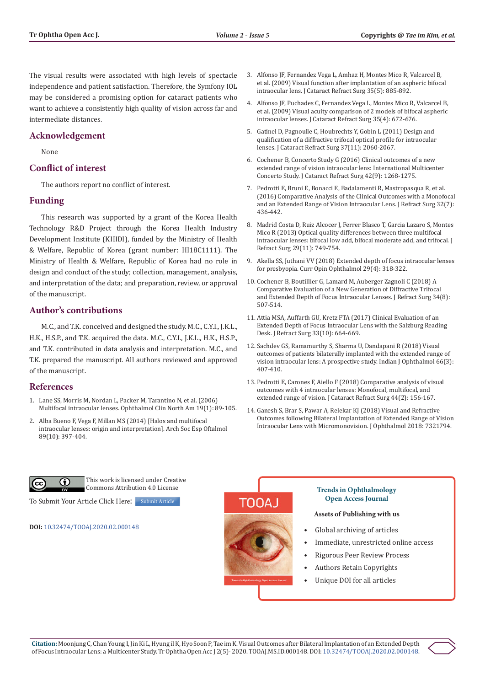The visual results were associated with high levels of spectacle independence and patient satisfaction. Therefore, the Symfony IOL may be considered a promising option for cataract patients who want to achieve a consistently high quality of vision across far and intermediate distances.

## **Acknowledgement**

None

# **Conflict of interest**

The authors report no conflict of interest.

## **Funding**

This research was supported by a grant of the Korea Health Technology R&D Project through the Korea Health Industry Development Institute (KHIDI), funded by the Ministry of Health & Welfare, Republic of Korea (grant number: HI18C1111). The Ministry of Health & Welfare, Republic of Korea had no role in design and conduct of the study; collection, management, analysis, and interpretation of the data; and preparation, review, or approval of the manuscript.

## **Author's contributions**

M.C., and T.K. conceived and designed the study. M.C., C.Y.I., J.K.L., H.K., H.S.P., and T.K. acquired the data. M.C., C.Y.I., J.K.L., H.K., H.S.P., and T.K. contributed in data analysis and interpretation. M.C., and T.K. prepared the manuscript. All authors reviewed and approved of the manuscript.

## **References**

- 1. [Lane SS, Morris M, Nordan L, Packer M, Tarantino N, et al. \(2006\)](https://pubmed.ncbi.nlm.nih.gov/16500531/)  [Multifocal intraocular lenses. Ophthalmol Clin North Am 19\(1\): 89-105.](https://pubmed.ncbi.nlm.nih.gov/16500531/)
- 2. [Alba Bueno F, Vega F, Millan MS \(2014\) \[Halos and multifocal](https://pubmed.ncbi.nlm.nih.gov/24951327/)  [intraocular lenses: origin and interpretation\]. Arch Soc Esp Oftalmol](https://pubmed.ncbi.nlm.nih.gov/24951327/)  [89\(10\): 397-404.](https://pubmed.ncbi.nlm.nih.gov/24951327/)
- 3. [Alfonso JF, Fernandez Vega L, Amhaz H, Montes Mico R, Valcarcel B,](https://pubmed.ncbi.nlm.nih.gov/19393889/)  [et al. \(2009\) Visual function after implantation of an aspheric bifocal](https://pubmed.ncbi.nlm.nih.gov/19393889/)  [intraocular lens. J Cataract Refract Surg 35\(5\): 885-892.](https://pubmed.ncbi.nlm.nih.gov/19393889/)
- 4. [Alfonso JF, Puchades C, Fernandez Vega L, Montes Mico R, Valcarcel B,](https://pubmed.ncbi.nlm.nih.gov/19304087/)  [et al. \(2009\) Visual acuity comparison of 2 models of bifocal aspheric](https://pubmed.ncbi.nlm.nih.gov/19304087/)  [intraocular lenses. J Cataract Refract Surg 35\(4\): 672-676.](https://pubmed.ncbi.nlm.nih.gov/19304087/)
- 5. [Gatinel D, Pagnoulle C, Houbrechts Y, Gobin L \(2011\) Design and](https://pubmed.ncbi.nlm.nih.gov/22018368/)  [qualification of a diffractive trifocal optical profile for intraocular](https://pubmed.ncbi.nlm.nih.gov/22018368/)  [lenses. J Cataract Refract Surg 37\(11\): 2060-2067.](https://pubmed.ncbi.nlm.nih.gov/22018368/)
- 6. [Cochener B, Concerto Study G \(2016\) Clinical outcomes of a new](https://pubmed.ncbi.nlm.nih.gov/27697244/)  [extended range of vision intraocular lens: International Multicenter](https://pubmed.ncbi.nlm.nih.gov/27697244/)  [Concerto Study. J Cataract Refract Surg 42\(9\): 1268-1275.](https://pubmed.ncbi.nlm.nih.gov/27697244/)
- 7. [Pedrotti E, Bruni E, Bonacci E, Badalamenti R, Mastropasqua R, et al.](https://pubmed.ncbi.nlm.nih.gov/27400074/)  [\(2016\) Comparative Analysis of the Clinical Outcomes with a Monofocal](https://pubmed.ncbi.nlm.nih.gov/27400074/) [and an Extended Range of Vision Intraocular Lens. J Refract Surg 32\(7\):](https://pubmed.ncbi.nlm.nih.gov/27400074/)  [436-442.](https://pubmed.ncbi.nlm.nih.gov/27400074/)
- 8. [Madrid Costa D, Ruiz Alcocer J, Ferrer Blasco T, Garcia Lazaro S, Montes](http://europepmc.org/article/med/24203806)  [Mico R \(2013\) Optical quality differences between three multifocal](http://europepmc.org/article/med/24203806)  [intraocular lenses: bifocal low add, bifocal moderate add, and trifocal. J](http://europepmc.org/article/med/24203806)  [Refract Surg 29\(11\): 749-754.](http://europepmc.org/article/med/24203806)
- 9. [Akella SS, Juthani VV \(2018\) Extended depth of focus intraocular lenses](https://pubmed.ncbi.nlm.nih.gov/29697436/)  [for presbyopia. Curr Opin Ophthalmol 29\(4\): 318-322.](https://pubmed.ncbi.nlm.nih.gov/29697436/)
- 10. [Cochener B, Boutillier G, Lamard M, Auberger Zagnoli C \(2018\) A](https://pubmed.ncbi.nlm.nih.gov/30089179/)  [Comparative Evaluation of a New Generation of Diffractive Trifocal](https://pubmed.ncbi.nlm.nih.gov/30089179/)  [and Extended Depth of Focus Intraocular Lenses. J Refract Surg 34\(8\):](https://pubmed.ncbi.nlm.nih.gov/30089179/)  [507-514.](https://pubmed.ncbi.nlm.nih.gov/30089179/)
- 11. [Attia MSA, Auffarth GU, Kretz FTA \(2017\) Clinical Evaluation of an](https://pubmed.ncbi.nlm.nih.gov/28991333/)  [Extended Depth of Focus Intraocular Lens with the Salzburg Reading](https://pubmed.ncbi.nlm.nih.gov/28991333/)  [Desk. J Refract Surg 33\(10\): 664-669.](https://pubmed.ncbi.nlm.nih.gov/28991333/)
- 12. [Sachdev GS, Ramamurthy S, Sharma U, Dandapani R \(2018\) Visual](https://pubmed.ncbi.nlm.nih.gov/29480252/)  [outcomes of patients bilaterally implanted with the extended range of](https://pubmed.ncbi.nlm.nih.gov/29480252/)  [vision intraocular lens: A prospective study. Indian J Ophthalmol 66\(3\):](https://pubmed.ncbi.nlm.nih.gov/29480252/)  [407-410.](https://pubmed.ncbi.nlm.nih.gov/29480252/)
- 13. [Pedrotti E, Carones F, Aiello F \(2018\) Comparative analysis of visual](https://pubmed.ncbi.nlm.nih.gov/29587972/)  [outcomes with 4 intraocular lenses: Monofocal, multifocal, and](https://pubmed.ncbi.nlm.nih.gov/29587972/)  [extended range of vision. J Cataract Refract Surg 44\(2\): 156-167.](https://pubmed.ncbi.nlm.nih.gov/29587972/)
- 14. [Ganesh S, Brar S, Pawar A, Relekar KJ \(2018\) Visual and Refractive](https://pubmed.ncbi.nlm.nih.gov/29545954/)  [Outcomes following Bilateral Implantation of Extended Range of Vision](https://pubmed.ncbi.nlm.nih.gov/29545954/)  [Intraocular Lens with Micromonovision. J Ophthalmol 2018: 7321794.](https://pubmed.ncbi.nlm.nih.gov/29545954/)



To Submit Your Article Click Here: Submit Article

#### **DOI:** [10.32474/TOOAJ.2020.02.000148](http://dx.doi.org/10.32474/TOOAJ.2020.02.000148)



## **Trends in Ophthalmology Open Access Journal**

#### **Assets of Publishing with us**

- Global archiving of articles
- Immediate, unrestricted online access
- Rigorous Peer Review Process
- Authors Retain Copyrights
- Unique DOI for all articles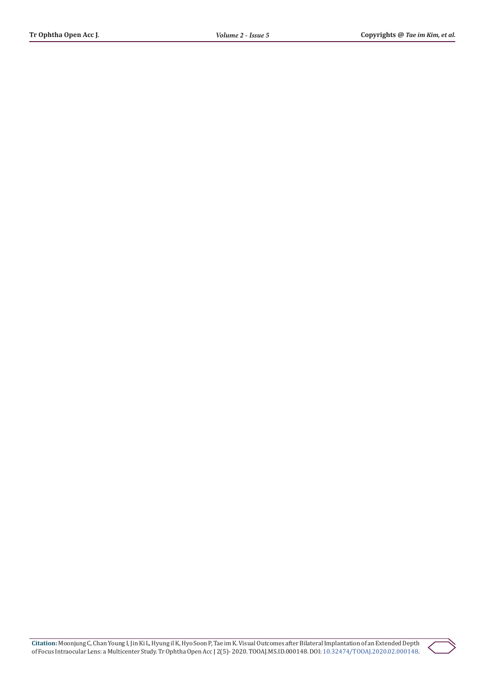**Citation:** Moonjung C, Chan Young I, Jin Ki L, Hyung il K, Hyo Soon P, Tae im K. Visual Outcomes after Bilateral Implantation of an Extended Depth of Focus Intraocular Lens: a Multicenter Study. Tr Ophtha Open Acc J 2(5)- 2020. TOOAJ.MS.ID.000148. DOI: [10.32474/TOOAJ.2020.02.000148.](http://dx.doi.org/10.32474/TOOAJ.2020.02.000148)